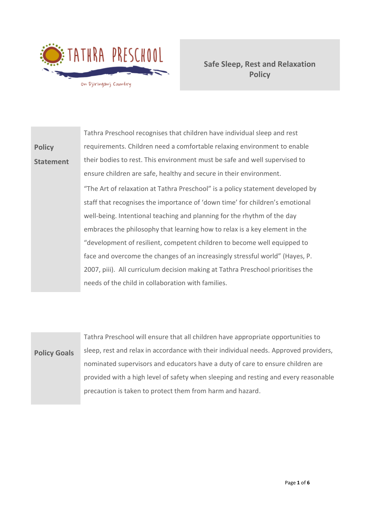

**Safe Sleep, Rest and Relaxation Policy**

**Policy Statement** Tathra Preschool recognises that children have individual sleep and rest requirements. Children need a comfortable relaxing environment to enable their bodies to rest. This environment must be safe and well supervised to ensure children are safe, healthy and secure in their environment. "The Art of relaxation at Tathra Preschool" is a policy statement developed by staff that recognises the importance of 'down time' for children's emotional well-being. Intentional teaching and planning for the rhythm of the day embraces the philosophy that learning how to relax is a key element in the "development of resilient, competent children to become well equipped to face and overcome the changes of an increasingly stressful world" (Hayes, P. 2007, piii). All curriculum decision making at Tathra Preschool prioritises the needs of the child in collaboration with families.

# **Policy Goals**

Tathra Preschool will ensure that all children have appropriate opportunities to sleep, rest and relax in accordance with their individual needs. Approved providers, nominated supervisors and educators have a duty of care to ensure children are provided with a high level of safety when sleeping and resting and every reasonable precaution is taken to protect them from harm and hazard.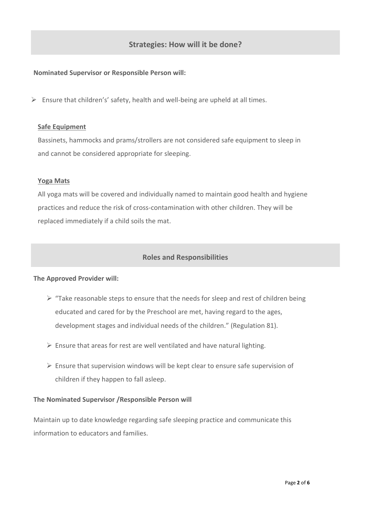# **Strategies: How will it be done?**

### **Nominated Supervisor or Responsible Person will:**

 $\triangleright$  Ensure that children's' safety, health and well-being are upheld at all times.

#### **Safe Equipment**

Bassinets, hammocks and prams/strollers are not considered safe equipment to sleep in and cannot be considered appropriate for sleeping.

#### **Yoga Mats**

All yoga mats will be covered and individually named to maintain good health and hygiene practices and reduce the risk of cross-contamination with other children. They will be replaced immediately if a child soils the mat.

## **Roles and Responsibilities**

#### **The Approved Provider will:**

- $\triangleright$  "Take reasonable steps to ensure that the needs for sleep and rest of children being educated and cared for by the Preschool are met, having regard to the ages, development stages and individual needs of the children." (Regulation 81).
- $\triangleright$  Ensure that areas for rest are well ventilated and have natural lighting.
- $\triangleright$  Ensure that supervision windows will be kept clear to ensure safe supervision of children if they happen to fall asleep.

#### **The Nominated Supervisor /Responsible Person will**

Maintain up to date knowledge regarding safe sleeping practice and communicate this information to educators and families.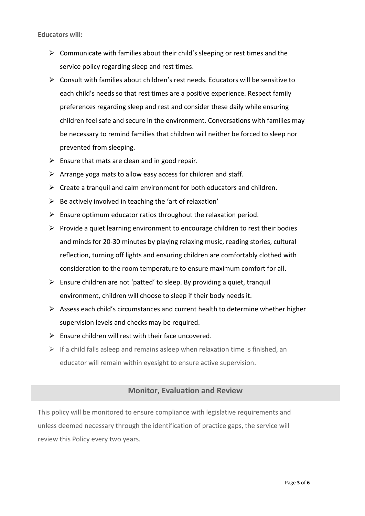**Educators will:**

- $\triangleright$  Communicate with families about their child's sleeping or rest times and the service policy regarding sleep and rest times.
- $\triangleright$  Consult with families about children's rest needs. Educators will be sensitive to each child's needs so that rest times are a positive experience. Respect family preferences regarding sleep and rest and consider these daily while ensuring children feel safe and secure in the environment. Conversations with families may be necessary to remind families that children will neither be forced to sleep nor prevented from sleeping.
- $\triangleright$  Ensure that mats are clean and in good repair.
- $\triangleright$  Arrange yoga mats to allow easy access for children and staff.
- $\triangleright$  Create a tranquil and calm environment for both educators and children.
- $\triangleright$  Be actively involved in teaching the 'art of relaxation'
- $\triangleright$  Ensure optimum educator ratios throughout the relaxation period.
- $\triangleright$  Provide a quiet learning environment to encourage children to rest their bodies and minds for 20-30 minutes by playing relaxing music, reading stories, cultural reflection, turning off lights and ensuring children are comfortably clothed with consideration to the room temperature to ensure maximum comfort for all.
- ➢ Ensure children are not 'patted' to sleep. By providing a quiet, tranquil environment, children will choose to sleep if their body needs it.
- ➢ Assess each child's circumstances and current health to determine whether higher supervision levels and checks may be required.
- $\triangleright$  Ensure children will rest with their face uncovered.
- $\triangleright$  If a child falls asleep and remains asleep when relaxation time is finished, an educator will remain within eyesight to ensure active supervision.

### **Monitor, Evaluation and Review**

This policy will be monitored to ensure compliance with legislative requirements and unless deemed necessary through the identification of practice gaps, the service will review this Policy every two years.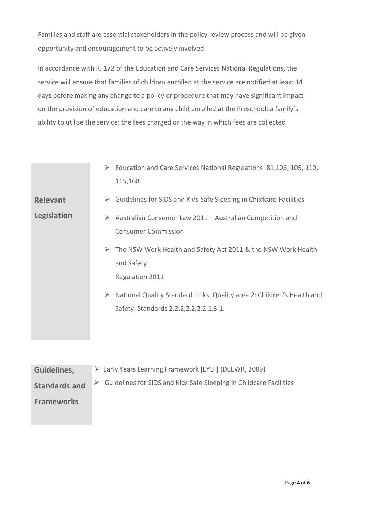Families and staff are essential stakeholders in the policy review process and will be given opportunity and encouragement to be actively involved.

In accordance with R. 172 of the Education and Care Services National Regulations, the service will ensure that families of children enrolled at the service are notified at least 14 days before making any change to a policy or procedure that may have significant impact on the provision of education and care to any child enrolled at the Preschool; a family's ability to utilise the service; the fees charged or the way in which fees are collected

|                 | $\triangleright$ Education and Care Services National Regulations: 81,103, 105, 110,<br>115,168                          |
|-----------------|--------------------------------------------------------------------------------------------------------------------------|
| <b>Relevant</b> | $\triangleright$ Guidelines for SIDS and Kids Safe Sleeping in Childcare Facilities                                      |
| Legislation     | Australian Consumer Law 2011 - Australian Competition and<br>➤<br><b>Consumer Commission</b>                             |
|                 | $\triangleright$ The NSW Work Health and Safety Act 2011 & the NSW Work Health<br>and Safety<br>Regulation 2011          |
|                 | National Quality Standard Links. Quality area 2: Children's Health and<br>➤<br>Safety. Standards 2.2.2, 2.2, 2.2.1, 3.1. |

| Guidelines,          | > Early Years Learning Framework [EYLF] (DEEWR, 2009)              |
|----------------------|--------------------------------------------------------------------|
| <b>Standards and</b> | Guidelines for SIDS and Kids Safe Sleeping in Childcare Facilities |
| <b>Frameworks</b>    |                                                                    |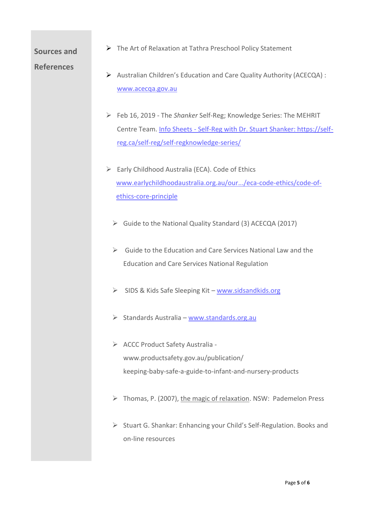## **Sources and**

➢ The Art of Relaxation at Tathra Preschool Policy Statement

## **References**

- ➢ Australian Children's Education and Care Quality Authority (ACECQA) : [www.acecqa.gov.au](http://www.acecqa.gov.au/)
- ➢ Feb 16, 2019 The *Shanker* Self-Reg; Knowledge Series: The MEHRIT Centre Team. Info Sheets - [Self-Reg with Dr. Stuart Shanker: https://self](file:///E:/Info%20Sheets%20-%20Self-Reg%20with%20Dr.%20Stuart%20Shanker:%20https:/self-reg.ca/self-reg/self-regknowledge-series/)[reg.ca/self-reg/self-regknowledge-series/](file:///E:/Info%20Sheets%20-%20Self-Reg%20with%20Dr.%20Stuart%20Shanker:%20https:/self-reg.ca/self-reg/self-regknowledge-series/)
- $\triangleright$  Early Childhood Australia (ECA). Code of Ethics [www.earlychildhoodaustralia.org.au/our.../eca-code-ethics/code-of](http://www.earlychildhoodaustralia.org.au/our.../eca-code-ethics/code-of-ethics-core-principle)[ethics-core-principle](http://www.earlychildhoodaustralia.org.au/our.../eca-code-ethics/code-of-ethics-core-principle)
	- ➢ Guide to the National Quality Standard (3) ACECQA (2017)
	- $\triangleright$  Guide to the Education and Care Services National Law and the Education and Care Services National Regulation
	- ➢ SIDS & Kids Safe Sleeping Kit [www.sidsandkids.org](http://www.sidsandkids.org/)
	- ➢ Standards Australia [www.standards.org.au](http://www.standards.org.au/)
	- ➢ ACCC Product Safety Australia www.productsafety.gov.au/publication/ keeping-baby-safe-a-guide-to-infant-and-nursery-products
	- ➢ Thomas, P. (2007), the magic of relaxation. NSW: Pademelon Press
	- ➢ Stuart G. Shankar: Enhancing your Child's Self-Regulation. Books and on-line resources